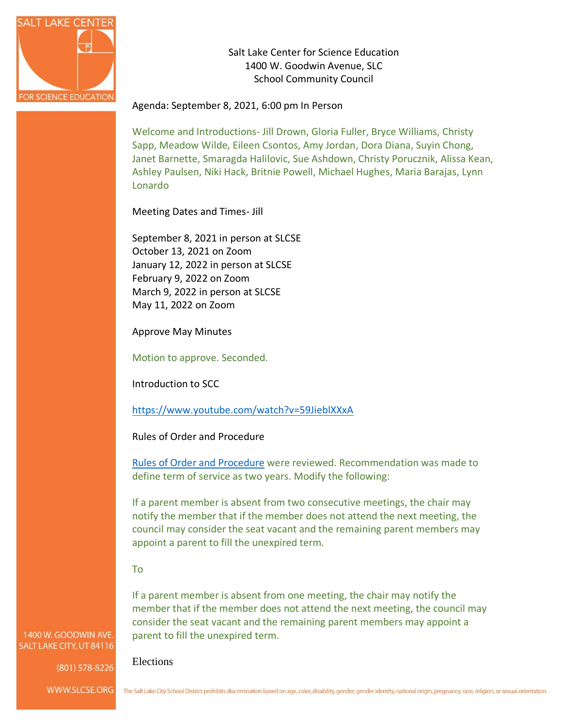

Salt Lake Center for Science Education 1400 W. Goodwin Avenue, SLC School Community Council

Agenda: September 8, 2021, 6:00 pm In Person

Welcome and Introductions- Jill Drown, Gloria Fuller, Bryce Williams, Christy Sapp, Meadow Wilde, Eileen Csontos, Amy Jordan, Dora Diana, Suyin Chong, Janet Barnette, Smaragda Halilovic, Sue Ashdown, Christy Porucznik, Alissa Kean, Ashley Paulsen, Niki Hack, Britnie Powell, Michael Hughes, Maria Barajas, Lynn Lonardo

Meeting Dates and Times- Jill

September 8, 2021 in person at SLCSE October 13, 2021 on Zoom January 12, 2022 in person at SLCSE February 9, 2022 on Zoom March 9, 2022 in person at SLCSE May 11, 2022 on Zoom

Approve May Minutes

Motion to approve. Seconded.

Introduction to SCC

<https://www.youtube.com/watch?v=59JieblXXxA>

Rules of Order and Procedure

[Rules of Order and Procedure](https://resources.finalsite.net/images/v1622133032/slcschoolsorg/knx0ohe2huhyhvymoel8/salt_lake_center_for_science_education_school_community_council_rules_of_order_and_procedure.pdf) were reviewed. Recommendation was made to define term of service as two years. Modify the following:

If a parent member is absent from two consecutive meetings, the chair may notify the member that if the member does not attend the next meeting, the council may consider the seat vacant and the remaining parent members may appoint a parent to fill the unexpired term.

#### To

If a parent member is absent from one meeting, the chair may notify the member that if the member does not attend the next meeting, the council may consider the seat vacant and the remaining parent members may appoint a parent to fill the unexpired term.

1400 W. GOODWIN AVE. SALT LAKE CITY, UT 84116

(801) 578-8226

Elections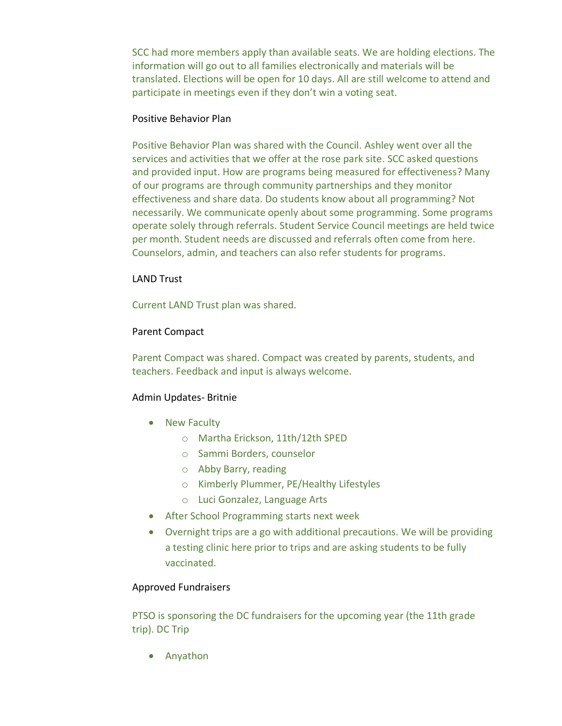SCC had more members apply than available seats. We are holding elections. The information will go out to all families electronically and materials will be translated. Elections will be open for 10 days. All are still welcome to attend and participate in meetings even if they don't win a voting seat.

#### Positive Behavior Plan

Positive Behavior Plan was shared with the Council. Ashley went over all the services and activities that we offer at the rose park site. SCC asked questions and provided input. How are programs being measured for effectiveness? Many of our programs are through community partnerships and they monitor effectiveness and share data. Do students know about all programming? Not necessarily. We communicate openly about some programming. Some programs operate solely through referrals. Student Service Council meetings are held twice per month. Student needs are discussed and referrals often come from here. Counselors, admin, and teachers can also refer students for programs.

### LAND Trust

Current LAND Trust plan was shared.

# Parent Compact

Parent Compact was shared. Compact was created by parents, students, and teachers. Feedback and input is always welcome.

# Admin Updates- Britnie

- New Faculty
	- o Martha Erickson, 11th/12th SPED
	- o Sammi Borders, counselor
	- o Abby Barry, reading
	- o Kimberly Plummer, PE/Healthy Lifestyles
	- o Luci Gonzalez, Language Arts
- After School Programming starts next week
- Overnight trips are a go with additional precautions. We will be providing a testing clinic here prior to trips and are asking students to be fully vaccinated.

# Approved Fundraisers

PTSO is sponsoring the DC fundraisers for the upcoming year (the 11th grade trip). DC Trip

• Anyathon